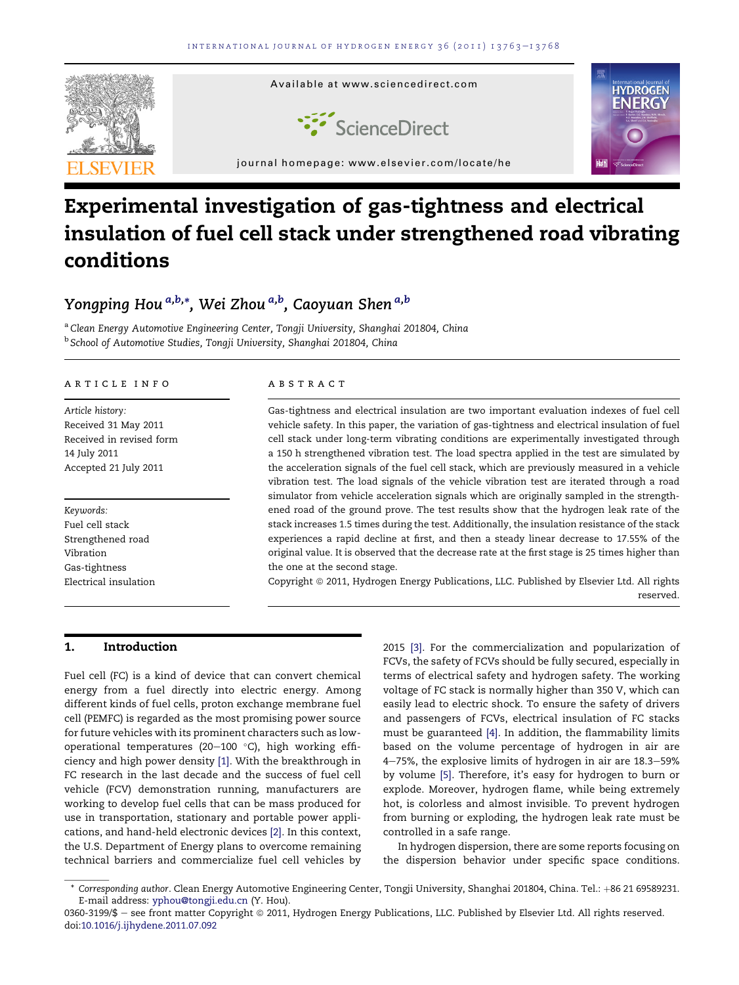

# Experimental investigation of gas-tightness and electrical insulation of fuel cell stack under strengthened road vibrating conditions

### Yongping Hou <sup>a,b,</sup>\*, Wei Zhou <sup>a,b</sup>, Caoyuan Shen <sup>a,b</sup>

<sup>a</sup> Clean Energy Automotive Engineering Center, Tongji University, Shanghai 201804, China <sup>b</sup> School of Automotive Studies, Tongji University, Shanghai 201804, China

#### article info

Article history: Received 31 May 2011 Received in revised form 14 July 2011 Accepted 21 July 2011

Keywords: Fuel cell stack Strengthened road Vibration Gas-tightness Electrical insulation

#### **ABSTRACT**

Gas-tightness and electrical insulation are two important evaluation indexes of fuel cell vehicle safety. In this paper, the variation of gas-tightness and electrical insulation of fuel cell stack under long-term vibrating conditions are experimentally investigated through a 150 h strengthened vibration test. The load spectra applied in the test are simulated by the acceleration signals of the fuel cell stack, which are previously measured in a vehicle vibration test. The load signals of the vehicle vibration test are iterated through a road simulator from vehicle acceleration signals which are originally sampled in the strengthened road of the ground prove. The test results show that the hydrogen leak rate of the stack increases 1.5 times during the test. Additionally, the insulation resistance of the stack experiences a rapid decline at first, and then a steady linear decrease to 17.55% of the original value. It is observed that the decrease rate at the first stage is 25 times higher than the one at the second stage.

Copyright © 2011, Hydrogen Energy Publications, LLC. Published by Elsevier Ltd. All rights reserved.

#### 1. Introduction

Fuel cell (FC) is a kind of device that can convert chemical energy from a fuel directly into electric energy. Among different kinds of fuel cells, proton exchange membrane fuel cell (PEMFC) is regarded as the most promising power source for future vehicles with its prominent characters such as lowoperational temperatures (20-100  $^{\circ}$ C), high working efficiency and high power density [1]. With the breakthrough in FC research in the last decade and the success of fuel cell vehicle (FCV) demonstration running, manufacturers are working to develop fuel cells that can be mass produced for use in transportation, stationary and portable power applications, and hand-held electronic devices [2]. In this context, the U.S. Department of Energy plans to overcome remaining technical barriers and commercialize fuel cell vehicles by

2015 [3]. For the commercialization and popularization of FCVs, the safety of FCVs should be fully secured, especially in terms of electrical safety and hydrogen safety. The working voltage of FC stack is normally higher than 350 V, which can easily lead to electric shock. To ensure the safety of drivers and passengers of FCVs, electrical insulation of FC stacks must be guaranteed [4]. In addition, the flammability limits based on the volume percentage of hydrogen in air are 4-75%, the explosive limits of hydrogen in air are 18.3-59% by volume [5]. Therefore, it's easy for hydrogen to burn or explode. Moreover, hydrogen flame, while being extremely hot, is colorless and almost invisible. To prevent hydrogen from burning or exploding, the hydrogen leak rate must be controlled in a safe range.

In hydrogen dispersion, there are some reports focusing on the dispersion behavior under specific space conditions.

<sup>\*</sup> Corresponding author. Clean Energy Automotive Engineering Center, Tongji University, Shanghai 201804, China. Tel.: +86 21 69589231. E-mail address: [yphou@tongji.edu.cn](mailto:yphou@tongji.edu.cn) (Y. Hou).

<sup>0360-3199/\$ -</sup> see front matter Copyright @ 2011, Hydrogen Energy Publications, LLC. Published by Elsevier Ltd. All rights reserved. doi[:10.1016/j.ijhydene.2011.07.092](http://dx.doi.org/10.1016/j.ijhydene.2011.07.092)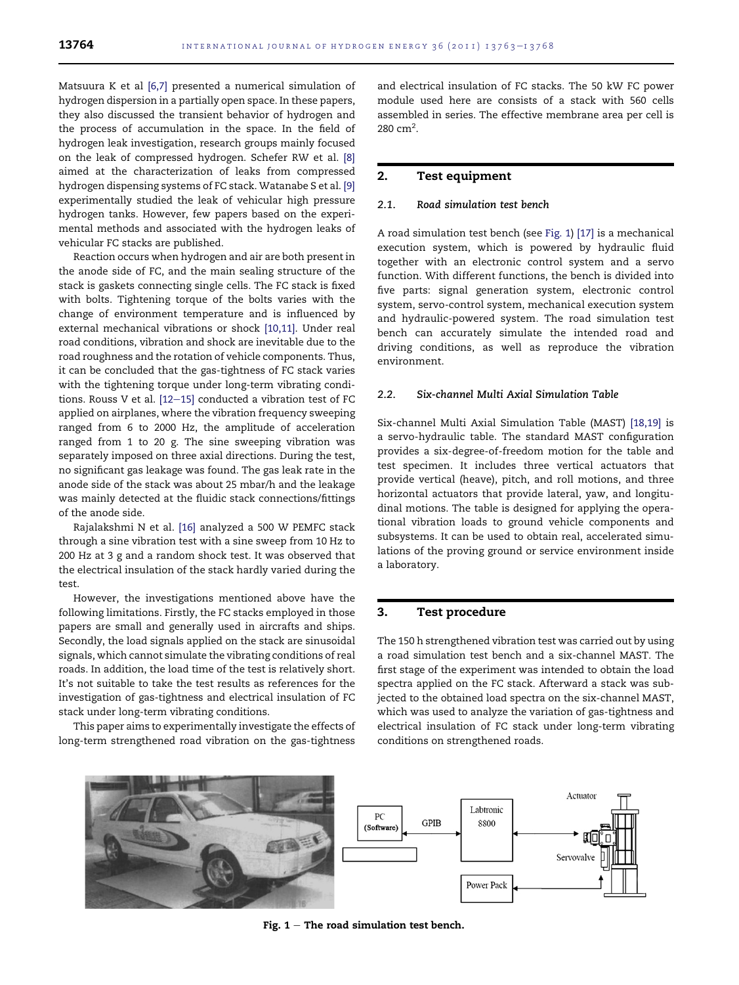Matsuura K et al [6,7] presented a numerical simulation of hydrogen dispersion in a partially open space. In these papers, they also discussed the transient behavior of hydrogen and the process of accumulation in the space. In the field of hydrogen leak investigation, research groups mainly focused on the leak of compressed hydrogen. Schefer RW et al. [8] aimed at the characterization of leaks from compressed hydrogen dispensing systems of FC stack. Watanabe S et al. [9] experimentally studied the leak of vehicular high pressure hydrogen tanks. However, few papers based on the experimental methods and associated with the hydrogen leaks of vehicular FC stacks are published.

Reaction occurs when hydrogen and air are both present in the anode side of FC, and the main sealing structure of the stack is gaskets connecting single cells. The FC stack is fixed with bolts. Tightening torque of the bolts varies with the change of environment temperature and is influenced by external mechanical vibrations or shock [10,11]. Under real road conditions, vibration and shock are inevitable due to the road roughness and the rotation of vehicle components. Thus, it can be concluded that the gas-tightness of FC stack varies with the tightening torque under long-term vibrating conditions. Rouss V et al.  $[12-15]$  conducted a vibration test of FC applied on airplanes, where the vibration frequency sweeping ranged from 6 to 2000 Hz, the amplitude of acceleration ranged from 1 to 20 g. The sine sweeping vibration was separately imposed on three axial directions. During the test, no significant gas leakage was found. The gas leak rate in the anode side of the stack was about 25 mbar/h and the leakage was mainly detected at the fluidic stack connections/fittings of the anode side.

Rajalakshmi N et al. [16] analyzed a 500 W PEMFC stack through a sine vibration test with a sine sweep from 10 Hz to 200 Hz at 3 g and a random shock test. It was observed that the electrical insulation of the stack hardly varied during the test.

However, the investigations mentioned above have the following limitations. Firstly, the FC stacks employed in those papers are small and generally used in aircrafts and ships. Secondly, the load signals applied on the stack are sinusoidal signals, which cannot simulate the vibrating conditions of real roads. In addition, the load time of the test is relatively short. It's not suitable to take the test results as references for the investigation of gas-tightness and electrical insulation of FC stack under long-term vibrating conditions.

This paper aims to experimentally investigate the effects of long-term strengthened road vibration on the gas-tightness

and electrical insulation of FC stacks. The 50 kW FC power module used here are consists of a stack with 560 cells assembled in series. The effective membrane area per cell is  $280 \text{ cm}^2$ .

#### 2. Test equipment

#### 2.1. Road simulation test bench

A road simulation test bench (see Fig. 1) [17] is a mechanical execution system, which is powered by hydraulic fluid together with an electronic control system and a servo function. With different functions, the bench is divided into five parts: signal generation system, electronic control system, servo-control system, mechanical execution system and hydraulic-powered system. The road simulation test bench can accurately simulate the intended road and driving conditions, as well as reproduce the vibration environment.

#### 2.2. Six-channel Multi Axial Simulation Table

Six-channel Multi Axial Simulation Table (MAST) [18,19] is a servo-hydraulic table. The standard MAST configuration provides a six-degree-of-freedom motion for the table and test specimen. It includes three vertical actuators that provide vertical (heave), pitch, and roll motions, and three horizontal actuators that provide lateral, yaw, and longitudinal motions. The table is designed for applying the operational vibration loads to ground vehicle components and subsystems. It can be used to obtain real, accelerated simulations of the proving ground or service environment inside a laboratory.

#### 3. Test procedure

The 150 h strengthened vibration test was carried out by using a road simulation test bench and a six-channel MAST. The first stage of the experiment was intended to obtain the load spectra applied on the FC stack. Afterward a stack was subjected to the obtained load spectra on the six-channel MAST, which was used to analyze the variation of gas-tightness and electrical insulation of FC stack under long-term vibrating conditions on strengthened roads.



Fig.  $1 -$  The road simulation test bench.